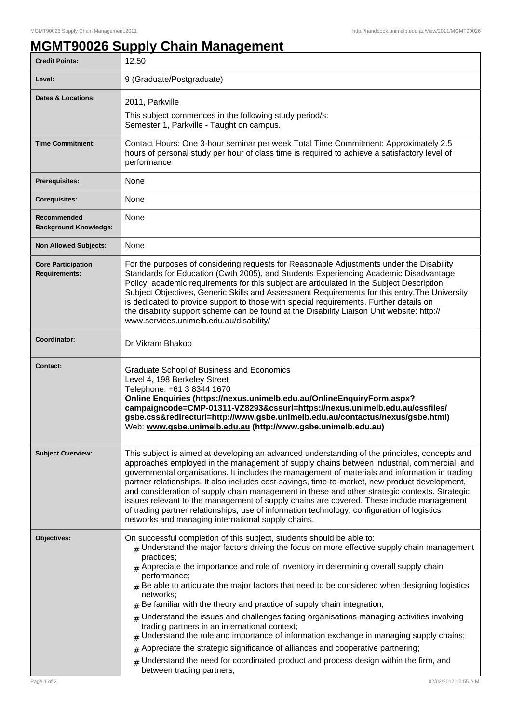## **MGMT90026 Supply Chain Management**

| 12.50                                                                                                                                                                                                                                                                                                                                                                                                                                                                                                                                                                                                                                                                                                                                                                                                                                                                                                                                                                                   |
|-----------------------------------------------------------------------------------------------------------------------------------------------------------------------------------------------------------------------------------------------------------------------------------------------------------------------------------------------------------------------------------------------------------------------------------------------------------------------------------------------------------------------------------------------------------------------------------------------------------------------------------------------------------------------------------------------------------------------------------------------------------------------------------------------------------------------------------------------------------------------------------------------------------------------------------------------------------------------------------------|
| 9 (Graduate/Postgraduate)                                                                                                                                                                                                                                                                                                                                                                                                                                                                                                                                                                                                                                                                                                                                                                                                                                                                                                                                                               |
| 2011, Parkville<br>This subject commences in the following study period/s:<br>Semester 1, Parkville - Taught on campus.                                                                                                                                                                                                                                                                                                                                                                                                                                                                                                                                                                                                                                                                                                                                                                                                                                                                 |
| Contact Hours: One 3-hour seminar per week Total Time Commitment: Approximately 2.5<br>hours of personal study per hour of class time is required to achieve a satisfactory level of<br>performance                                                                                                                                                                                                                                                                                                                                                                                                                                                                                                                                                                                                                                                                                                                                                                                     |
| None                                                                                                                                                                                                                                                                                                                                                                                                                                                                                                                                                                                                                                                                                                                                                                                                                                                                                                                                                                                    |
| None                                                                                                                                                                                                                                                                                                                                                                                                                                                                                                                                                                                                                                                                                                                                                                                                                                                                                                                                                                                    |
| None                                                                                                                                                                                                                                                                                                                                                                                                                                                                                                                                                                                                                                                                                                                                                                                                                                                                                                                                                                                    |
| None                                                                                                                                                                                                                                                                                                                                                                                                                                                                                                                                                                                                                                                                                                                                                                                                                                                                                                                                                                                    |
| For the purposes of considering requests for Reasonable Adjustments under the Disability<br>Standards for Education (Cwth 2005), and Students Experiencing Academic Disadvantage<br>Policy, academic requirements for this subject are articulated in the Subject Description,<br>Subject Objectives, Generic Skills and Assessment Requirements for this entry. The University<br>is dedicated to provide support to those with special requirements. Further details on<br>the disability support scheme can be found at the Disability Liaison Unit website: http://<br>www.services.unimelb.edu.au/disability/                                                                                                                                                                                                                                                                                                                                                                      |
| Dr Vikram Bhakoo                                                                                                                                                                                                                                                                                                                                                                                                                                                                                                                                                                                                                                                                                                                                                                                                                                                                                                                                                                        |
| Graduate School of Business and Economics<br>Level 4, 198 Berkeley Street<br>Telephone: +61 3 8344 1670<br>Online Enquiries (https://nexus.unimelb.edu.au/OnlineEnquiryForm.aspx?<br>campaigncode=CMP-01311-VZ8293&cssurl=https://nexus.unimelb.edu.au/cssfiles/<br>gsbe.css&redirecturl=http://www.gsbe.unimelb.edu.au/contactus/nexus/gsbe.html)<br>Web: www.gsbe.unimelb.edu.au (http://www.gsbe.unimelb.edu.au)                                                                                                                                                                                                                                                                                                                                                                                                                                                                                                                                                                     |
| This subject is aimed at developing an advanced understanding of the principles, concepts and<br>approaches employed in the management of supply chains between industrial, commercial, and<br>governmental organisations. It includes the management of materials and information in trading<br>partner relationships. It also includes cost-savings, time-to-market, new product development,<br>and consideration of supply chain management in these and other strategic contexts. Strategic<br>issues relevant to the management of supply chains are covered. These include management<br>of trading partner relationships, use of information technology, configuration of logistics<br>networks and managing international supply chains.                                                                                                                                                                                                                                       |
| On successful completion of this subject, students should be able to:<br>$#$ Understand the major factors driving the focus on more effective supply chain management<br>practices:<br>$_{\#}$ Appreciate the importance and role of inventory in determining overall supply chain<br>performance;<br>$_{\rm #}$ Be able to articulate the major factors that need to be considered when designing logistics<br>networks;<br>$#$ Be familiar with the theory and practice of supply chain integration;<br>$#$ Understand the issues and challenges facing organisations managing activities involving<br>trading partners in an international context;<br>Understand the role and importance of information exchange in managing supply chains;<br>Appreciate the strategic significance of alliances and cooperative partnering;<br>#<br>$#$ Understand the need for coordinated product and process design within the firm, and<br>between trading partners;<br>02/02/2017 10:55 A.M. |
|                                                                                                                                                                                                                                                                                                                                                                                                                                                                                                                                                                                                                                                                                                                                                                                                                                                                                                                                                                                         |